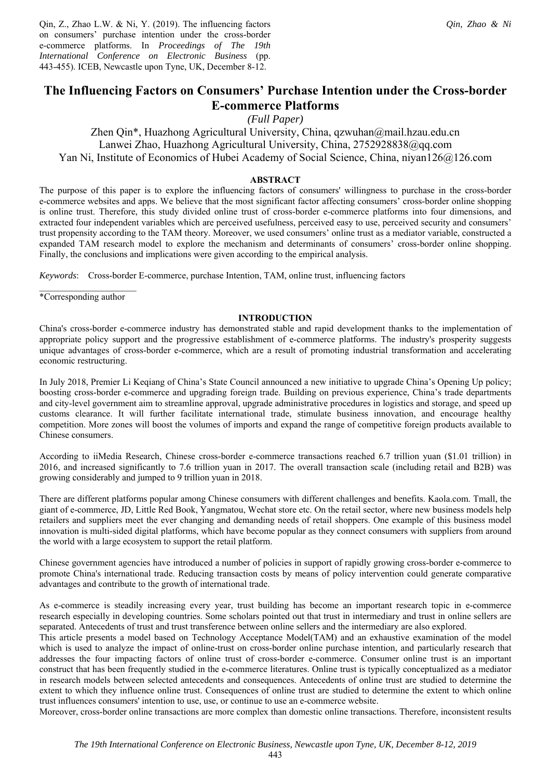Qin, Z., Zhao L.W. & Ni, Y. (2019). The influencing factors on consumers' purchase intention under the cross-border e-commerce platforms. In *Proceedings of The 19th International Conference on Electronic Business* (pp. 443-455). ICEB, Newcastle upon Tyne, UK, December 8-12.

# **The Influencing Factors on Consumers' Purchase Intention under the Cross-border E-commerce Platforms**

*(Full Paper)*

Zhen Qin\*, Huazhong Agricultural University, China, qzwuhan@mail.hzau.edu.cn Lanwei Zhao, Huazhong Agricultural University, China, 2752928838@qq.com Yan Ni, Institute of Economics of Hubei Academy of Social Science, China, niyan126@126.com

## **ABSTRACT**

The purpose of this paper is to explore the influencing factors of consumers' willingness to purchase in the cross-border e-commerce websites and apps. We believe that the most significant factor affecting consumers' cross-border online shopping is online trust. Therefore, this study divided online trust of cross-border e-commerce platforms into four dimensions, and extracted four independent variables which are perceived usefulness, perceived easy to use, perceived security and consumers' trust propensity according to the TAM theory. Moreover, we used consumers' online trust as a mediator variable, constructed a expanded TAM research model to explore the mechanism and determinants of consumers' cross-border online shopping. Finally, the conclusions and implications were given according to the empirical analysis.

*Keywords*: Cross-border E-commerce, purchase Intention, TAM, online trust, influencing factors

 $\overline{\phantom{a}}$  , where  $\overline{\phantom{a}}$ \*Corresponding author

#### **INTRODUCTION**

China's cross-border e-commerce industry has demonstrated stable and rapid development thanks to the implementation of appropriate policy support and the progressive establishment of e-commerce platforms. The industry's prosperity suggests unique advantages of cross-border e-commerce, which are a result of promoting industrial transformation and accelerating economic restructuring.

In July 2018, Premier Li Keqiang of China's State Council announced a new initiative to upgrade China's Opening Up policy; boosting cross-border e-commerce and upgrading foreign trade. Building on previous experience, China's trade departments and city-level government aim to streamline approval, upgrade administrative procedures in logistics and storage, and speed up customs clearance. It will further facilitate international trade, stimulate business innovation, and encourage healthy competition. More zones will boost the volumes of imports and expand the range of competitive foreign products available to Chinese consumers.

According to iiMedia Research, Chinese cross-border e-commerce transactions reached 6.7 trillion yuan (\$1.01 trillion) in 2016, and increased significantly to 7.6 trillion yuan in 2017. The overall transaction scale (including retail and B2B) was growing considerably and jumped to 9 trillion yuan in 2018.

There are different platforms popular among Chinese consumers with different challenges and benefits. Kaola.com. Tmall, the giant of e-commerce, JD, Little Red Book, Yangmatou, Wechat store etc. On the retail sector, where new business models help retailers and suppliers meet the ever changing and demanding needs of retail shoppers. One example of this business model innovation is multi-sided digital platforms, which have become popular as they connect consumers with suppliers from around the world with a large ecosystem to support the retail platform.

Chinese government agencies have introduced a number of policies in support of rapidly growing cross-border e-commerce to promote China's international trade. Reducing transaction costs by means of policy intervention could generate comparative advantages and contribute to the growth of international trade.

As e-commerce is steadily increasing every year, trust building has become an important research topic in e-commerce research especially in developing countries. Some scholars pointed out that trust in intermediary and trust in online sellers are separated. Antecedents of trust and trust transference between online sellers and the intermediary are also explored.

This article presents a model based on Technology Acceptance Model(TAM) and an exhaustive examination of the model which is used to analyze the impact of online-trust on cross-border online purchase intention, and particularly research that addresses the four impacting factors of online trust of cross-border e-commerce. Consumer online trust is an important construct that has been frequently studied in the e-commerce literatures. Online trust is typically conceptualized as a mediator in research models between selected antecedents and consequences. Antecedents of online trust are studied to determine the extent to which they influence online trust. Consequences of online trust are studied to determine the extent to which online trust influences consumers' intention to use, use, or continue to use an e-commerce website.

Moreover, cross-border online transactions are more complex than domestic online transactions. Therefore, inconsistent results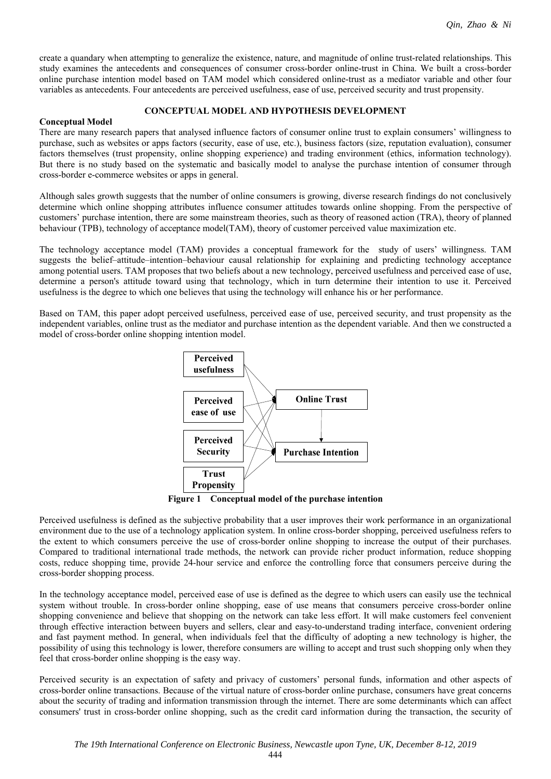create a quandary when attempting to generalize the existence, nature, and magnitude of online trust-related relationships. This study examines the antecedents and consequences of consumer cross-border online-trust in China. We built a cross-border online purchase intention model based on TAM model which considered online-trust as a mediator variable and other four variables as antecedents. Four antecedents are perceived usefulness, ease of use, perceived security and trust propensity.

## **CONCEPTUAL MODEL AND HYPOTHESIS DEVELOPMENT**

### **Conceptual Model**

There are many research papers that analysed influence factors of consumer online trust to explain consumers' willingness to purchase, such as websites or apps factors (security, ease of use, etc.), business factors (size, reputation evaluation), consumer factors themselves (trust propensity, online shopping experience) and trading environment (ethics, information technology). But there is no study based on the systematic and basically model to analyse the purchase intention of consumer through cross-border e-commerce websites or apps in general.

Although sales growth suggests that the number of online consumers is growing, diverse research findings do not conclusively determine which online shopping attributes influence consumer attitudes towards online shopping. From the perspective of customers' purchase intention, there are some mainstream theories, such as theory of reasoned action (TRA), theory of planned behaviour (TPB), technology of acceptance model(TAM), theory of customer perceived value maximization etc.

The technology acceptance model (TAM) provides a conceptual framework for the study of users' willingness. TAM suggests the belief–attitude–intention–behaviour causal relationship for explaining and predicting technology acceptance among potential users. TAM proposes that two beliefs about a new technology, perceived usefulness and perceived ease of use, determine a person's attitude toward using that technology, which in turn determine their intention to use it. Perceived usefulness is the degree to which one believes that using the technology will enhance his or her performance.

Based on TAM, this paper adopt perceived usefulness, perceived ease of use, perceived security, and trust propensity as the independent variables, online trust as the mediator and purchase intention as the dependent variable. And then we constructed a model of cross-border online shopping intention model.



**Figure 1 Conceptual model of the purchase intention**

Perceived usefulness is defined as the subjective probability that a user improves their work performance in an organizational environment due to the use of a technology application system. In online cross-border shopping, perceived usefulness refers to the extent to which consumers perceive the use of cross-border online shopping to increase the output of their purchases. Compared to traditional international trade methods, the network can provide richer product information, reduce shopping costs, reduce shopping time, provide 24-hour service and enforce the controlling force that consumers perceive during the cross-border shopping process.

In the technology acceptance model, perceived ease of use is defined as the degree to which users can easily use the technical system without trouble. In cross-border online shopping, ease of use means that consumers perceive cross-border online shopping convenience and believe that shopping on the network can take less effort. It will make customers feel convenient through effective interaction between buyers and sellers, clear and easy-to-understand trading interface, convenient ordering and fast payment method. In general, when individuals feel that the difficulty of adopting a new technology is higher, the possibility of using this technology is lower, therefore consumers are willing to accept and trust such shopping only when they feel that cross-border online shopping is the easy way.

Perceived security is an expectation of safety and privacy of customers' personal funds, information and other aspects of cross-border online transactions. Because of the virtual nature of cross-border online purchase, consumers have great concerns about the security of trading and information transmission through the internet. There are some determinants which can affect consumers' trust in cross-border online shopping, such as the credit card information during the transaction, the security of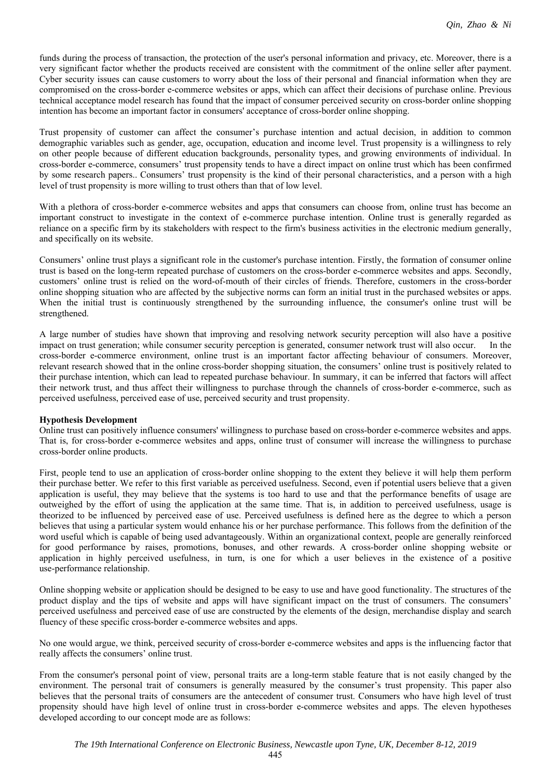funds during the process of transaction, the protection of the user's personal information and privacy, etc. Moreover, there is a very significant factor whether the products received are consistent with the commitment of the online seller after payment. Cyber security issues can cause customers to worry about the loss of their personal and financial information when they are compromised on the cross-border e-commerce websites or apps, which can affect their decisions of purchase online. Previous technical acceptance model research has found that the impact of consumer perceived security on cross-border online shopping intention has become an important factor in consumers' acceptance of cross-border online shopping.

Trust propensity of customer can affect the consumer's purchase intention and actual decision, in addition to common demographic variables such as gender, age, occupation, education and income level. Trust propensity is a willingness to rely on other people because of different education backgrounds, personality types, and growing environments of individual. In cross-border e-commerce, consumers' trust propensity tends to have a direct impact on online trust which has been confirmed by some research papers.. Consumers' trust propensity is the kind of their personal characteristics, and a person with a high level of trust propensity is more willing to trust others than that of low level.

With a plethora of cross-border e-commerce websites and apps that consumers can choose from, online trust has become an important construct to investigate in the context of e-commerce purchase intention. Online trust is generally regarded as reliance on a specific firm by its stakeholders with respect to the firm's business activities in the electronic medium generally, and specifically on its website.

Consumers' online trust plays a significant role in the customer's purchase intention. Firstly, the formation of consumer online trust is based on the long-term repeated purchase of customers on the cross-border e-commerce websites and apps. Secondly, customers' online trust is relied on the word-of-mouth of their circles of friends. Therefore, customers in the cross-border online shopping situation who are affected by the subjective norms can form an initial trust in the purchased websites or apps. When the initial trust is continuously strengthened by the surrounding influence, the consumer's online trust will be strengthened.

A large number of studies have shown that improving and resolving network security perception will also have a positive impact on trust generation; while consumer security perception is generated, consumer network trust will also occur. cross-border e-commerce environment, online trust is an important factor affecting behaviour of consumers. Moreover, relevant research showed that in the online cross-border shopping situation, the consumers' online trust is positively related to their purchase intention, which can lead to repeated purchase behaviour. In summary, it can be inferred that factors will affect their network trust, and thus affect their willingness to purchase through the channels of cross-border e-commerce, such as perceived usefulness, perceived ease of use, perceived security and trust propensity.

### **Hypothesis Development**

Online trust can positively influence consumers' willingness to purchase based on cross-border e-commerce websites and apps. That is, for cross-border e-commerce websites and apps, online trust of consumer will increase the willingness to purchase cross-border online products.

First, people tend to use an application of cross-border online shopping to the extent they believe it will help them perform their purchase better. We refer to this first variable as perceived usefulness. Second, even if potential users believe that a given application is useful, they may believe that the systems is too hard to use and that the performance benefits of usage are outweighed by the effort of using the application at the same time. That is, in addition to perceived usefulness, usage is theorized to be influenced by perceived ease of use. Perceived usefulness is defined here as the degree to which a person believes that using a particular system would enhance his or her purchase performance. This follows from the definition of the word useful which is capable of being used advantageously. Within an organizational context, people are generally reinforced for good performance by raises, promotions, bonuses, and other rewards. A cross-border online shopping website or application in highly perceived usefulness, in turn, is one for which a user believes in the existence of a positive use-performance relationship.

Online shopping website or application should be designed to be easy to use and have good functionality. The structures of the product display and the tips of website and apps will have significant impact on the trust of consumers. The consumers' perceived usefulness and perceived ease of use are constructed by the elements of the design, merchandise display and search fluency of these specific cross-border e-commerce websites and apps.

No one would argue, we think, perceived security of cross-border e-commerce websites and apps is the influencing factor that really affects the consumers' online trust.

From the consumer's personal point of view, personal traits are a long-term stable feature that is not easily changed by the environment. The personal trait of consumers is generally measured by the consumer's trust propensity. This paper also believes that the personal traits of consumers are the antecedent of consumer trust. Consumers who have high level of trust propensity should have high level of online trust in cross-border e-commerce websites and apps. The eleven hypotheses developed according to our concept mode are as follows: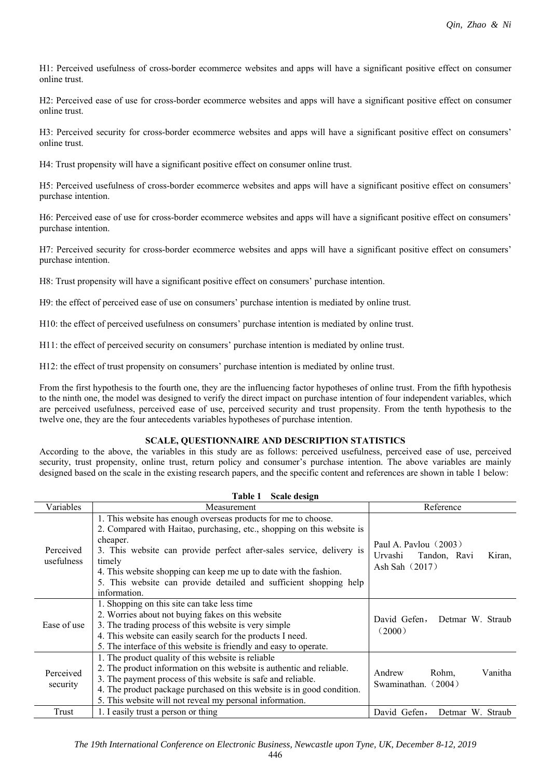H1: Perceived usefulness of cross-border ecommerce websites and apps will have a significant positive effect on consumer online trust.

H2: Perceived ease of use for cross-border ecommerce websites and apps will have a significant positive effect on consumer online trust.

H3: Perceived security for cross-border ecommerce websites and apps will have a significant positive effect on consumers' online trust.

H4: Trust propensity will have a significant positive effect on consumer online trust.

H5: Perceived usefulness of cross-border ecommerce websites and apps will have a significant positive effect on consumers' purchase intention.

H6: Perceived ease of use for cross-border ecommerce websites and apps will have a significant positive effect on consumers' purchase intention.

H7: Perceived security for cross-border ecommerce websites and apps will have a significant positive effect on consumers' purchase intention.

H8: Trust propensity will have a significant positive effect on consumers' purchase intention.

H9: the effect of perceived ease of use on consumers' purchase intention is mediated by online trust.

H10: the effect of perceived usefulness on consumers' purchase intention is mediated by online trust.

H11: the effect of perceived security on consumers' purchase intention is mediated by online trust.

H12: the effect of trust propensity on consumers' purchase intention is mediated by online trust.

From the first hypothesis to the fourth one, they are the influencing factor hypotheses of online trust. From the fifth hypothesis to the ninth one, the model was designed to verify the direct impact on purchase intention of four independent variables, which are perceived usefulness, perceived ease of use, perceived security and trust propensity. From the tenth hypothesis to the twelve one, they are the four antecedents variables hypotheses of purchase intention.

### **SCALE, QUESTIONNAIRE AND DESCRIPTION STATISTICS**

According to the above, the variables in this study are as follows: perceived usefulness, perceived ease of use, perceived security, trust propensity, online trust, return policy and consumer's purchase intention. The above variables are mainly designed based on the scale in the existing research papers, and the specific content and references are shown in table 1 below:

|                         | Table 1<br>Scale design                                                                                                                                                                                                                                                                                                                                                                          |                                                                                  |  |  |  |  |
|-------------------------|--------------------------------------------------------------------------------------------------------------------------------------------------------------------------------------------------------------------------------------------------------------------------------------------------------------------------------------------------------------------------------------------------|----------------------------------------------------------------------------------|--|--|--|--|
| Variables               | Measurement                                                                                                                                                                                                                                                                                                                                                                                      | Reference                                                                        |  |  |  |  |
| Perceived<br>usefulness | 1. This website has enough overseas products for me to choose.<br>2. Compared with Haitao, purchasing, etc., shopping on this website is<br>cheaper.<br>3. This website can provide perfect after-sales service, delivery is<br>timely<br>4. This website shopping can keep me up to date with the fashion.<br>5. This website can provide detailed and sufficient shopping help<br>information. | Paul A. Pavlou $(2003)$<br>Urvashi<br>Tandon, Ravi<br>Kiran,<br>Ash Sah $(2017)$ |  |  |  |  |
| Ease of use             | 1. Shopping on this site can take less time<br>2. Worries about not buying fakes on this website<br>3. The trading process of this website is very simple<br>4. This website can easily search for the products I need.<br>5. The interface of this website is friendly and easy to operate.                                                                                                     | David Gefen,<br>Detmar W. Straub<br>(2000)                                       |  |  |  |  |
| Perceived<br>security   | 1. The product quality of this website is reliable<br>2. The product information on this website is authentic and reliable.<br>3. The payment process of this website is safe and reliable.<br>4. The product package purchased on this website is in good condition.<br>5. This website will not reveal my personal information.                                                                | Vanitha<br>Andrew<br>Rohm,<br>Swaminathan. (2004)                                |  |  |  |  |
| Trust                   | 1. I easily trust a person or thing                                                                                                                                                                                                                                                                                                                                                              | David Gefen,<br>Detmar W. Straub                                                 |  |  |  |  |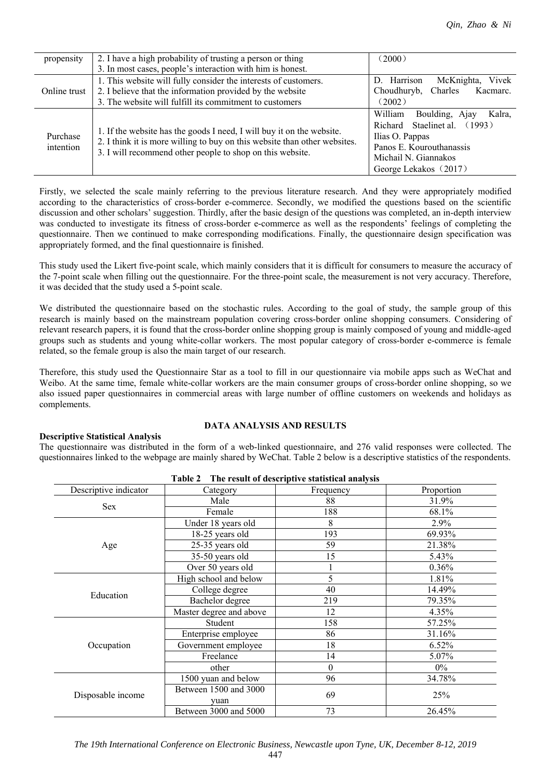| propensity   | 2. I have a high probability of trusting a person or thing                                                                                         | (2000)                              |  |
|--------------|----------------------------------------------------------------------------------------------------------------------------------------------------|-------------------------------------|--|
|              | 3. In most cases, people's interaction with him is honest.                                                                                         |                                     |  |
|              | 1. This website will fully consider the interests of customers.                                                                                    | Vivek<br>D. Harrison<br>McKnighta,  |  |
| Online trust | 2. I believe that the information provided by the website                                                                                          | Choudhuryb, Charles<br>Kacmarc.     |  |
|              | 3. The website will fulfill its commitment to customers                                                                                            | (2002)                              |  |
|              |                                                                                                                                                    | William<br>Boulding, Ajay<br>Kalra, |  |
|              |                                                                                                                                                    | Richard Staelinet al. (1993)        |  |
| Purchase     | 1. If the website has the goods I need, I will buy it on the website.<br>2. I think it is more willing to buy on this website than other websites. | Ilias O. Pappas                     |  |
| intention    | 3. I will recommend other people to shop on this website.                                                                                          | Panos E. Kourouthanassis            |  |
|              |                                                                                                                                                    | Michail N. Giannakos                |  |
|              |                                                                                                                                                    | George Lekakos (2017)               |  |

Firstly, we selected the scale mainly referring to the previous literature research. And they were appropriately modified according to the characteristics of cross-border e-commerce. Secondly, we modified the questions based on the scientific discussion and other scholars' suggestion. Thirdly, after the basic design of the questions was completed, an in-depth interview was conducted to investigate its fitness of cross-border e-commerce as well as the respondents' feelings of completing the questionnaire. Then we continued to make corresponding modifications. Finally, the questionnaire design specification was appropriately formed, and the final questionnaire is finished.

This study used the Likert five-point scale, which mainly considers that it is difficult for consumers to measure the accuracy of the 7-point scale when filling out the questionnaire. For the three-point scale, the measurement is not very accuracy. Therefore, it was decided that the study used a 5-point scale.

We distributed the questionnaire based on the stochastic rules. According to the goal of study, the sample group of this research is mainly based on the mainstream population covering cross-border online shopping consumers. Considering of relevant research papers, it is found that the cross-border online shopping group is mainly composed of young and middle-aged groups such as students and young white-collar workers. The most popular category of cross-border e-commerce is female related, so the female group is also the main target of our research.

Therefore, this study used the Questionnaire Star as a tool to fill in our questionnaire via mobile apps such as WeChat and Weibo. At the same time, female white-collar workers are the main consumer groups of cross-border online shopping, so we also issued paper questionnaires in commercial areas with large number of offline customers on weekends and holidays as complements.

## **Descriptive Statistical Analysis**

The questionnaire was distributed in the form of a web-linked questionnaire, and 276 valid responses were collected. The questionnaires linked to the webpage are mainly shared by WeChat. Table 2 below is a descriptive statistics of the respondents.

**Table 2 The result of descriptive statistical analysis**

**DATA ANALYSIS AND RESULTS**

| 1 avit 4<br>THE result of descriptive statistical analysis |                               |           |            |  |  |  |
|------------------------------------------------------------|-------------------------------|-----------|------------|--|--|--|
| Descriptive indicator                                      | Category                      | Frequency | Proportion |  |  |  |
|                                                            | Male                          | 88        | 31.9%      |  |  |  |
| <b>Sex</b>                                                 | Female                        | 188       | 68.1%      |  |  |  |
|                                                            | Under 18 years old            | 8         | 2.9%       |  |  |  |
|                                                            | 18-25 years old               | 193       | 69.93%     |  |  |  |
| Age                                                        | 25-35 years old               | 59        | 21.38%     |  |  |  |
|                                                            | 35-50 years old               | 15        | 5.43%      |  |  |  |
|                                                            | Over 50 years old             |           | 0.36%      |  |  |  |
|                                                            | High school and below         | 5         | 1.81%      |  |  |  |
|                                                            | College degree                | 40        | 14.49%     |  |  |  |
| Education                                                  | Bachelor degree               | 219       | 79.35%     |  |  |  |
|                                                            | Master degree and above       | 12        | 4.35%      |  |  |  |
|                                                            | Student                       | 158       | 57.25%     |  |  |  |
|                                                            | Enterprise employee           | 86        | 31.16%     |  |  |  |
| Occupation                                                 | Government employee           | 18        | $6.52\%$   |  |  |  |
|                                                            | Freelance                     | 14        | 5.07%      |  |  |  |
|                                                            | other                         | $\theta$  | $0\%$      |  |  |  |
|                                                            | 1500 yuan and below           | 96        | 34.78%     |  |  |  |
| Disposable income                                          | Between 1500 and 3000<br>vuan | 69        | 25%        |  |  |  |
|                                                            | Between 3000 and 5000         | 73        | 26.45%     |  |  |  |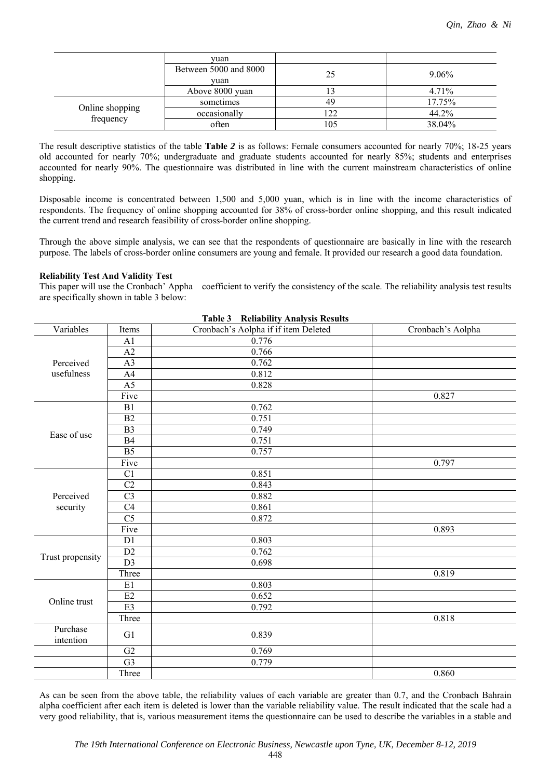|                              | vuan                          |     |          |
|------------------------------|-------------------------------|-----|----------|
|                              | Between 5000 and 8000<br>vuan | 25  | $9.06\%$ |
|                              | Above 8000 yuan               |     | 4.71%    |
|                              | sometimes                     | 49  | 17.75%   |
| Online shopping<br>frequency | occasionally                  | 122 | 44.2%    |
|                              | often                         | 105 | 38.04%   |

The result descriptive statistics of the table **Table** *2* is as follows: Female consumers accounted for nearly 70%; 18-25 years old accounted for nearly 70%; undergraduate and graduate students accounted for nearly 85%; students and enterprises accounted for nearly 90%. The questionnaire was distributed in line with the current mainstream characteristics of online shopping.

Disposable income is concentrated between 1,500 and 5,000 yuan, which is in line with the income characteristics of respondents. The frequency of online shopping accounted for 38% of cross-border online shopping, and this result indicated the current trend and research feasibility of cross-border online shopping.

Through the above simple analysis, we can see that the respondents of questionnaire are basically in line with the research purpose. The labels of cross-border online consumers are young and female. It provided our research a good data foundation.

## **Reliability Test And Validity Test**

This paper will use the Cronbach' Appha coefficient to verify the consistency of the scale. The reliability analysis test results are specifically shown in table 3 below:

|                       |                | <b>Reliability Analysis Results</b><br>Table 3 |                   |
|-----------------------|----------------|------------------------------------------------|-------------------|
| Variables             | Items          | Cronbach's Aolpha if if item Deleted           | Cronbach's Aolpha |
|                       | A <sub>1</sub> | 0.776                                          |                   |
|                       | A2             | 0.766                                          |                   |
| Perceived             | A <sub>3</sub> | 0.762                                          |                   |
| usefulness            | A4             | 0.812                                          |                   |
|                       | A <sub>5</sub> | 0.828                                          |                   |
|                       | Five           |                                                | 0.827             |
|                       | B1             | 0.762                                          |                   |
|                       | B2             | 0.751                                          |                   |
| Ease of use           | B <sub>3</sub> | 0.749                                          |                   |
|                       | B4             | 0.751                                          |                   |
|                       | B <sub>5</sub> | 0.757                                          |                   |
|                       | Five           |                                                | 0.797             |
|                       | C <sub>1</sub> | 0.851                                          |                   |
|                       | C <sub>2</sub> | 0.843                                          |                   |
| Perceived             | C <sub>3</sub> | 0.882                                          |                   |
| security              | C4             | 0.861                                          |                   |
|                       | C <sub>5</sub> | 0.872                                          |                   |
|                       | Five           |                                                | 0.893             |
|                       | D1             | 0.803                                          |                   |
|                       | D2             | 0.762                                          |                   |
| Trust propensity      | D <sub>3</sub> | 0.698                                          |                   |
|                       | Three          |                                                | 0.819             |
|                       | E1             | 0.803                                          |                   |
|                       | E2             | 0.652                                          |                   |
| Online trust          | E <sub>3</sub> | 0.792                                          |                   |
|                       | Three          |                                                | 0.818             |
| Purchase<br>intention | G1             | 0.839                                          |                   |
|                       | G2             | 0.769                                          |                   |
|                       | G <sub>3</sub> | 0.779                                          |                   |
|                       | Three          |                                                | 0.860             |

As can be seen from the above table, the reliability values of each variable are greater than 0.7, and the Cronbach Bahrain alpha coefficient after each item is deleted is lower than the variable reliability value. The result indicated that the scale had a very good reliability, that is, various measurement items the questionnaire can be used to describe the variables in a stable and

448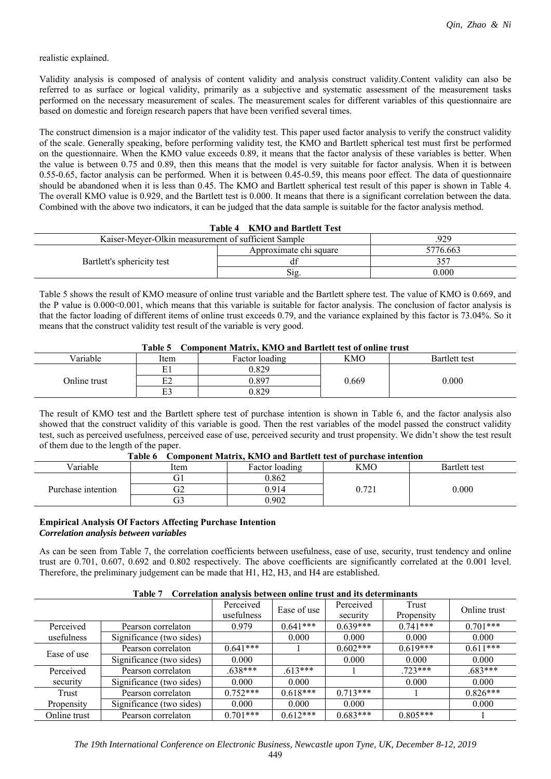realistic explained.

Validity analysis is composed of analysis of content validity and analysis construct validity.Content validity can also be referred to as surface or logical validity, primarily as a subjective and systematic assessment of the measurement tasks performed on the necessary measurement of scales. The measurement scales for different variables of this questionnaire are based on domestic and foreign research papers that have been verified several times.

The construct dimension is a major indicator of the validity test. This paper used factor analysis to verify the construct validity of the scale. Generally speaking, before performing validity test, the KMO and Bartlett spherical test must first be performed on the questionnaire. When the KMO value exceeds 0.89, it means that the factor analysis of these variables is better. When the value is between 0.75 and 0.89, then this means that the model is very suitable for factor analysis. When it is between 0.55-0.65, factor analysis can be performed. When it is between 0.45-0.59, this means poor effect. The data of questionnaire should be abandoned when it is less than 0.45. The KMO and Bartlett spherical test result of this paper is shown in Table 4. The overall KMO value is 0.929, and the Bartlett test is 0.000. It means that there is a significant correlation between the data. Combined with the above two indicators, it can be judged that the data sample is suitable for the factor analysis method.

#### **Table 4 KMO and Bartlett Test**

| Kaiser-Mever-Olkin measurement of sufficient Sample | 929                    |           |
|-----------------------------------------------------|------------------------|-----------|
|                                                     | Approximate chi square | 5776.663  |
| Bartlett's sphericity test                          |                        |           |
|                                                     | 512                    | $0.000 -$ |

Table 5 shows the result of KMO measure of online trust variable and the Bartlett sphere test. The value of KMO is 0.669, and the P value is 0.000<0.001, which means that this variable is suitable for factor analysis. The conclusion of factor analysis is that the factor loading of different items of online trust exceeds 0.79, and the variance explained by this factor is 73.04%. So it means that the construct validity test result of the variable is very good.

#### **Table 5 Component Matrix, KMO and Bartlett test of online trust**

| Variable     | Item | Factor loading | KMO   | Bartlett test |  |
|--------------|------|----------------|-------|---------------|--|
|              | E1   | 0.829          |       |               |  |
| Online trust | E2   | 0.897          | 0.669 | 0.000         |  |
|              | E3   | 0.829          |       |               |  |

The result of KMO test and the Bartlett sphere test of purchase intention is shown in Table 6, and the factor analysis also showed that the construct validity of this variable is good. Then the rest variables of the model passed the construct validity test, such as perceived usefulness, perceived ease of use, perceived security and trust propensity. We didn't show the test result of them due to the length of the paper.

| l adie o<br>Component Matrix, KiviO and Bartiell test of purchase intention |        |                |     |                      |  |  |
|-----------------------------------------------------------------------------|--------|----------------|-----|----------------------|--|--|
| $V$ ariable                                                                 | Item   | Factor loading | KMO | <b>Bartlett test</b> |  |  |
|                                                                             |        | ).862          |     |                      |  |  |
| Purchase intention                                                          | $\tau$ | 914            |     | 0.000                |  |  |
|                                                                             | ۇت     | .902           |     |                      |  |  |

## $T^*M$  $\Omega$  in and  $B$

#### **Empirical Analysis Of Factors Affecting Purchase Intention** *Correlation analysis between variables*

As can be seen from Table 7, the correlation coefficients between usefulness, ease of use, security, trust tendency and online trust are 0.701, 0.607, 0.692 and 0.802 respectively. The above coefficients are significantly correlated at the 0.001 level. Therefore, the preliminary judgement can be made that H1, H2, H3, and H4 are established.

## **Table 7 Correlation analysis between online trust and its determinants**

|              | ***** <i>*</i><br>Correntment minimum poeticell olimpic trust minimum accept infinimum |                         |             |                       |                     |              |  |
|--------------|----------------------------------------------------------------------------------------|-------------------------|-------------|-----------------------|---------------------|--------------|--|
|              |                                                                                        | Perceived<br>usefulness | Ease of use | Perceived<br>security | Trust<br>Propensity | Online trust |  |
|              |                                                                                        |                         |             |                       |                     |              |  |
| Perceived    | Pearson correlaton                                                                     | 0.979                   | $0.641***$  | $0.639***$            | $0.741***$          | $0.701***$   |  |
| usefulness   | Significance (two sides)                                                               |                         | 0.000       | 0.000                 | 0.000               | 0.000        |  |
| Ease of use  | Pearson correlaton                                                                     | $0.641***$              |             | $0.602***$            | $0.619***$          | $0.611***$   |  |
|              | Significance (two sides)                                                               | 0.000                   |             | 0.000                 | 0.000               | 0.000        |  |
| Perceived    | Pearson correlaton                                                                     | $.638***$               | $.613***$   |                       | $723***$            | $.683***$    |  |
| security     | Significance (two sides)                                                               | 0.000                   | 0.000       |                       | 0.000               | 0.000        |  |
| Trust        | Pearson correlaton                                                                     | $0.752***$              | $0.618***$  | $0.713***$            |                     | $0.826***$   |  |
| Propensity   | Significance (two sides)                                                               | 0.000                   | 0.000       | 0.000                 |                     | 0.000        |  |
| Online trust | Pearson correlaton                                                                     | $0.701***$              | $0.612***$  | $0.683***$            | $0.805***$          |              |  |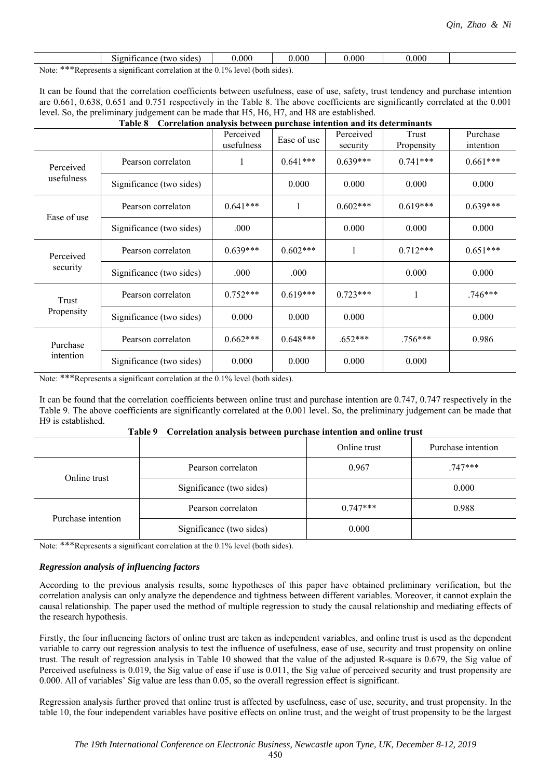|                            | sides<br>ficance<br>$\sim$<br>TWG.<br>910 | 0.000                     | 0.000 | 0.000 | 0.000 |  |
|----------------------------|-------------------------------------------|---------------------------|-------|-------|-------|--|
| .<br>$\mathbf{v}$<br>----- | $\cdot$                                   | $\mathbf{A}$ $\mathbf{A}$ |       |       |       |  |

Note: \*\*\*Represents a significant correlation at the 0.1% level (both sides).

It can be found that the correlation coefficients between usefulness, ease of use, safety, trust tendency and purchase intention are 0.661, 0.638, 0.651 and 0.751 respectively in the Table 8. The above coefficients are significantly correlated at the 0.001 level. So, the preliminary judgement can be made that H5, H6, H7, and H8 are established.

#### **Table 8 Correlation analysis between purchase intention and its determinants**

|                       |                          | Perceived<br>usefulness | Ease of use  | Perceived<br>security | Trust<br>Propensity | Purchase<br>intention |
|-----------------------|--------------------------|-------------------------|--------------|-----------------------|---------------------|-----------------------|
| Perceived             | Pearson correlaton       | 1                       | $0.641***$   | $0.639***$            | $0.741***$          | $0.661***$            |
| usefulness            | Significance (two sides) |                         | 0.000        | 0.000                 | 0.000               | 0.000                 |
| Ease of use           | Pearson correlaton       | $0.641***$              | $\mathbf{1}$ | $0.602***$            | $0.619***$          | $0.639***$            |
|                       | Significance (two sides) | .000                    |              | 0.000                 | 0.000               | 0.000                 |
| Perceived<br>security | Pearson correlaton       | $0.639***$              | $0.602***$   | 1                     | $0.712***$          | $0.651***$            |
|                       | Significance (two sides) | .000                    | .000         |                       | 0.000               | 0.000                 |
| Trust<br>Propensity   | Pearson correlaton       | $0.752***$              | $0.619***$   | $0.723***$            |                     | $.746***$             |
|                       | Significance (two sides) | 0.000                   | 0.000        | 0.000                 |                     | 0.000                 |
| Purchase<br>intention | Pearson correlaton       | $0.662***$              | $0.648***$   | $.652***$             | $.756***$           | 0.986                 |
|                       | Significance (two sides) | 0.000                   | 0.000        | 0.000                 | 0.000               |                       |

Note: \*\*\*Represents a significant correlation at the 0.1% level (both sides).

It can be found that the correlation coefficients between online trust and purchase intention are 0.747, 0.747 respectively in the Table 9. The above coefficients are significantly correlated at the 0.001 level. So, the preliminary judgement can be made that H9 is established.

| taviv 2<br>Correlation analysis between puremase intention and omine trust |                          |              |                    |  |  |
|----------------------------------------------------------------------------|--------------------------|--------------|--------------------|--|--|
|                                                                            |                          | Online trust | Purchase intention |  |  |
| Online trust                                                               | Pearson correlaton       | 0.967        | $.747***$          |  |  |
|                                                                            | Significance (two sides) |              | 0.000              |  |  |
|                                                                            | Pearson correlaton       | $0.747***$   | 0.988              |  |  |
| Purchase intention                                                         | Significance (two sides) | 0.000        |                    |  |  |

|  | Table 9 Correlation analysis between purchase intention and online trust |  |
|--|--------------------------------------------------------------------------|--|
|  |                                                                          |  |

Note: \*\*\*Represents a significant correlation at the 0.1% level (both sides).

### *Regression analysis of influencing factors*

According to the previous analysis results, some hypotheses of this paper have obtained preliminary verification, but the correlation analysis can only analyze the dependence and tightness between different variables. Moreover, it cannot explain the causal relationship. The paper used the method of multiple regression to study the causal relationship and mediating effects of the research hypothesis.

Firstly, the four influencing factors of online trust are taken as independent variables, and online trust is used as the dependent variable to carry out regression analysis to test the influence of usefulness, ease of use, security and trust propensity on online trust. The result of regression analysis in Table 10 showed that the value of the adjusted R-square is 0.679, the Sig value of Perceived usefulness is 0.019, the Sig value of ease if use is 0.011, the Sig value of perceived security and trust propensity are 0.000. All of variables' Sig value are less than 0.05, so the overall regression effect is significant.

Regression analysis further proved that online trust is affected by usefulness, ease of use, security, and trust propensity. In the table 10, the four independent variables have positive effects on online trust, and the weight of trust propensity to be the largest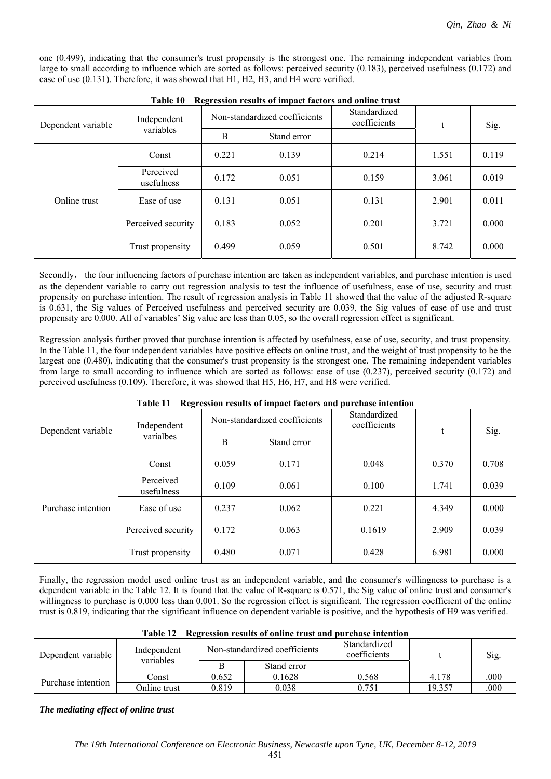one (0.499), indicating that the consumer's trust propensity is the strongest one. The remaining independent variables from large to small according to influence which are sorted as follows: perceived security (0.183), perceived usefulness (0.172) and ease of use (0.131). Therefore, it was showed that H1, H2, H3, and H4 were verified.

| Dependent variable | Independent             | Non-standardized coefficients |             | Standardized<br>coefficients |       | Sig.  |  |
|--------------------|-------------------------|-------------------------------|-------------|------------------------------|-------|-------|--|
|                    | variables               | B                             | Stand error |                              |       |       |  |
| Online trust       | Const                   | 0.221                         | 0.139       | 0.214                        | 1.551 | 0.119 |  |
|                    | Perceived<br>usefulness | 0.172                         | 0.051       | 0.159                        | 3.061 | 0.019 |  |
|                    | Ease of use             | 0.131                         | 0.051       | 0.131                        | 2.901 | 0.011 |  |
|                    | Perceived security      | 0.183                         | 0.052       | 0.201                        | 3.721 | 0.000 |  |
|                    | Trust propensity        | 0.499                         | 0.059       | 0.501                        | 8.742 | 0.000 |  |

|  | Table 10 Regression results of impact factors and online trust |  |
|--|----------------------------------------------------------------|--|
|  |                                                                |  |

Secondly, the four influencing factors of purchase intention are taken as independent variables, and purchase intention is used as the dependent variable to carry out regression analysis to test the influence of usefulness, ease of use, security and trust propensity on purchase intention. The result of regression analysis in Table 11 showed that the value of the adjusted R-square is 0.631, the Sig values of Perceived usefulness and perceived security are 0.039, the Sig values of ease of use and trust propensity are 0.000. All of variables' Sig value are less than 0.05, so the overall regression effect is significant.

Regression analysis further proved that purchase intention is affected by usefulness, ease of use, security, and trust propensity. In the Table 11, the four independent variables have positive effects on online trust, and the weight of trust propensity to be the largest one (0.480), indicating that the consumer's trust propensity is the strongest one. The remaining independent variables from large to small according to influence which are sorted as follows: ease of use (0.237), perceived security (0.172) and perceived usefulness (0.109). Therefore, it was showed that H5, H6, H7, and H8 were verified.

| l able 11<br>Regression results of impact factors and purchase intention |                         |                               |             |                              |       |       |  |  |  |
|--------------------------------------------------------------------------|-------------------------|-------------------------------|-------------|------------------------------|-------|-------|--|--|--|
| Dependent variable                                                       | Independent             | Non-standardized coefficients |             | Standardized<br>coefficients | t.    | Sig.  |  |  |  |
|                                                                          | varialbes               | B                             | Stand error |                              |       |       |  |  |  |
| Purchase intention                                                       | Const                   | 0.059                         | 0.171       | 0.048                        | 0.370 | 0.708 |  |  |  |
|                                                                          | Perceived<br>usefulness | 0.109                         | 0.061       | 0.100                        | 1.741 | 0.039 |  |  |  |
|                                                                          | Ease of use             | 0.237                         | 0.062       | 0.221                        | 4.349 | 0.000 |  |  |  |
|                                                                          | Perceived security      | 0.172                         | 0.063       | 0.1619                       | 2.909 | 0.039 |  |  |  |
|                                                                          | Trust propensity        | 0.480                         | 0.071       | 0.428                        | 6.981 | 0.000 |  |  |  |

### **Table 11 Regression results of impact factors and purchase intention**

Finally, the regression model used online trust as an independent variable, and the consumer's willingness to purchase is a dependent variable in the Table 12. It is found that the value of R-square is 0.571, the Sig value of online trust and consumer's willingness to purchase is 0.000 less than 0.001. So the regression effect is significant. The regression coefficient of the online trust is 0.819, indicating that the significant influence on dependent variable is positive, and the hypothesis of H9 was verified.

| Dependent variable | Independent<br>variables |       | Non-standardized coefficients | Standardized<br>coefficients |        | Sig. |
|--------------------|--------------------------|-------|-------------------------------|------------------------------|--------|------|
|                    |                          |       | Stand error                   |                              |        |      |
| Purchase intention | Const                    | 0.652 | 0.1628                        | 0.568                        | 4.178  | 000  |
|                    | Online trust             | 0.819 | 0.038                         | 0.751                        | 19.357 | 000  |

#### **Table 12 Regression results of online trust and purchase intention**

### *The mediating effect of online trust*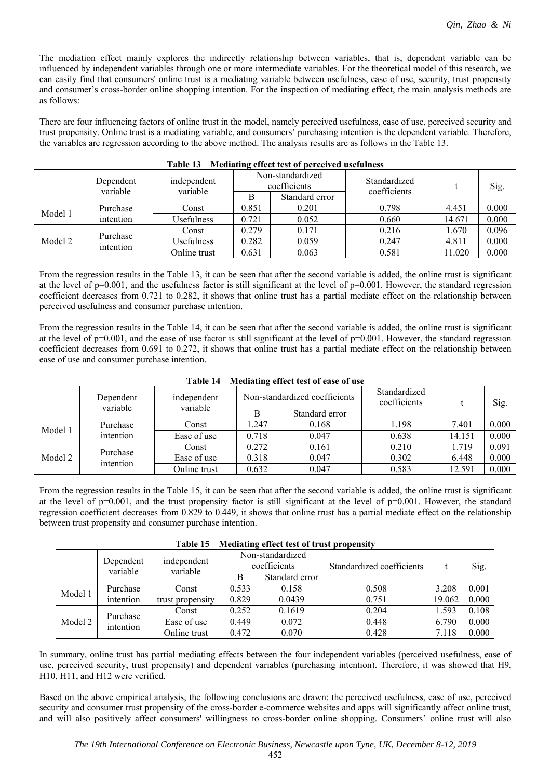The mediation effect mainly explores the indirectly relationship between variables, that is, dependent variable can be influenced by independent variables through one or more intermediate variables. For the theoretical model of this research, we can easily find that consumers' online trust is a mediating variable between usefulness, ease of use, security, trust propensity and consumer's cross-border online shopping intention. For the inspection of mediating effect, the main analysis methods are as follows:

There are four influencing factors of online trust in the model, namely perceived usefulness, ease of use, perceived security and trust propensity. Online trust is a mediating variable, and consumers' purchasing intention is the dependent variable. Therefore, the variables are regression according to the above method. The analysis results are as follows in the Table 13.

| таніс тэ<br><b>Executating effect test of perceived asciunities</b> |                       |                         |                                  |                |                              |        |       |  |  |  |
|---------------------------------------------------------------------|-----------------------|-------------------------|----------------------------------|----------------|------------------------------|--------|-------|--|--|--|
|                                                                     | Dependent<br>variable | independent<br>variable | Non-standardized<br>coefficients |                | Standardized<br>coefficients |        | Sig.  |  |  |  |
|                                                                     |                       |                         |                                  | Standard error |                              |        |       |  |  |  |
| Model 1                                                             | Purchase              | Const                   | 0.851                            | 0.201          | 0.798                        | 4.451  | 0.000 |  |  |  |
|                                                                     | intention             | Usefulness              | 0.721                            | 0.052          | 0.660                        | 14.671 | 0.000 |  |  |  |
| Purchase<br>Model 2                                                 |                       | Const                   | 0.279                            | 0.171          | 0.216                        | 1.670  | 0.096 |  |  |  |
|                                                                     | intention             | Usefulness              | 0.282                            | 0.059          | 0.247                        | 4.811  | 0.000 |  |  |  |
|                                                                     |                       | Online trust            | 0.631                            | 0.063          | 0.581                        | 11.020 | 0.000 |  |  |  |

## **Table 13 Mediating effect test of perceived usefulness**

From the regression results in the Table 13, it can be seen that after the second variable is added, the online trust is significant at the level of  $p=0.001$ , and the usefulness factor is still significant at the level of  $p=0.001$ . However, the standard regression coefficient decreases from 0.721 to 0.282, it shows that online trust has a partial mediate effect on the relationship between perceived usefulness and consumer purchase intention.

From the regression results in the Table 14, it can be seen that after the second variable is added, the online trust is significant at the level of  $p=0.001$ , and the ease of use factor is still significant at the level of  $p=0.001$ . However, the standard regression coefficient decreases from 0.691 to 0.272, it shows that online trust has a partial mediate effect on the relationship between ease of use and consumer purchase intention.

|         | Dependent<br>variable | independent<br>variable |       | Non-standardized coefficients | Standardized<br>coefficients |        | Sig.  |
|---------|-----------------------|-------------------------|-------|-------------------------------|------------------------------|--------|-------|
|         |                       |                         |       | Standard error                |                              |        |       |
| Model 1 | Purchase              | Const                   | 1.247 | 0.168                         | 1.198                        | 7.401  | 0.000 |
|         | intention             | Ease of use             | 0.718 | 0.047                         | 0.638                        | 14.151 | 0.000 |
| Model 2 |                       | Const                   | 0.272 | 0.161                         | 0.210                        | 1.719  | 0.091 |
|         | Purchase<br>intention | Ease of use             | 0.318 | 0.047                         | 0.302                        | 6.448  | 0.000 |
|         |                       | Online trust            | 0.632 | 0.047                         | 0.583                        | 12.591 | 0.000 |

#### **Table 14 Mediating effect test of ease of use**

From the regression results in the Table 15, it can be seen that after the second variable is added, the online trust is significant at the level of  $p=0.001$ , and the trust propensity factor is still significant at the level of  $p=0.001$ . However, the standard regression coefficient decreases from 0.829 to 0.449, it shows that online trust has a partial mediate effect on the relationship between trust propensity and consumer purchase intention.

|         | independent<br>Dependent<br>variable<br>variable |                  | Non-standardized<br>coefficients |                | Standardized coefficients |        | Sig.  |
|---------|--------------------------------------------------|------------------|----------------------------------|----------------|---------------------------|--------|-------|
|         |                                                  |                  |                                  | Standard error |                           |        |       |
|         | Purchase                                         | Const            | 0.533                            | 0.158          | 0.508                     | 3.208  | 0.001 |
| Model 1 | intention                                        | trust propensity | 0.829                            | 0.0439         | 0.751                     | 19.062 | 0.000 |
|         | Purchase                                         | Const            | 0.252                            | 0.1619         | 0.204                     | 1.593  | 0.108 |
| Model 2 | intention                                        | Ease of use      | 0.449                            | 0.072          | 0.448                     | 6.790  | 0.000 |
|         |                                                  | Online trust     | 0.472                            | 0.070          | 0.428                     | 7.118  | 0.000 |

#### **Table 15 Mediating effect test of trust propensity**

In summary, online trust has partial mediating effects between the four independent variables (perceived usefulness, ease of use, perceived security, trust propensity) and dependent variables (purchasing intention). Therefore, it was showed that H9, H10, H11, and H12 were verified.

Based on the above empirical analysis, the following conclusions are drawn: the perceived usefulness, ease of use, perceived security and consumer trust propensity of the cross-border e-commerce websites and apps will significantly affect online trust, and will also positively affect consumers' willingness to cross-border online shopping. Consumers' online trust will also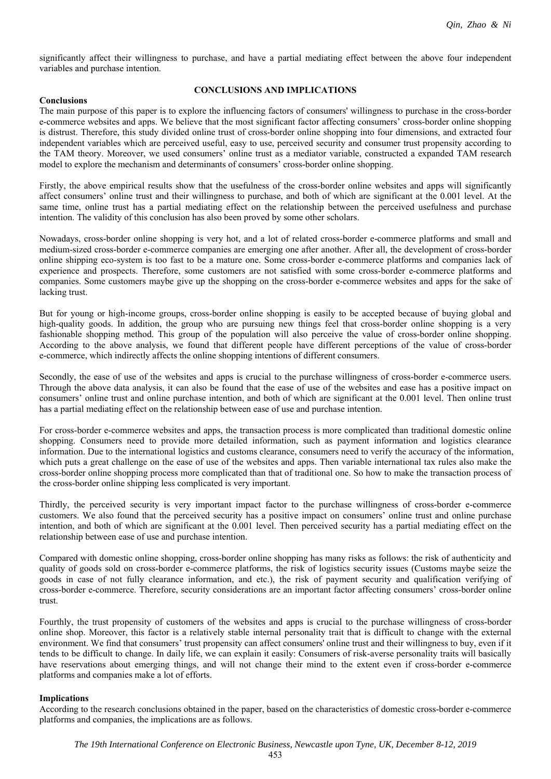significantly affect their willingness to purchase, and have a partial mediating effect between the above four independent variables and purchase intention.

#### **Conclusions**

### **CONCLUSIONS AND IMPLICATIONS**

The main purpose of this paper is to explore the influencing factors of consumers' willingness to purchase in the cross-border e-commerce websites and apps. We believe that the most significant factor affecting consumers' cross-border online shopping is distrust. Therefore, this study divided online trust of cross-border online shopping into four dimensions, and extracted four independent variables which are perceived useful, easy to use, perceived security and consumer trust propensity according to the TAM theory. Moreover, we used consumers' online trust as a mediator variable, constructed a expanded TAM research model to explore the mechanism and determinants of consumers' cross-border online shopping.

### Firstly, the above empirical results show that the usefulness of the cross-border online websites and apps will significantly affect consumers' online trust and their willingness to purchase, and both of which are significant at the 0.001 level. At the same time, online trust has a partial mediating effect on the relationship between the perceived usefulness and purchase intention. The validity of this conclusion has also been proved by some other scholars.

Nowadays, cross-border online shopping is very hot, and a lot of related cross-border e-commerce platforms and small and medium-sized cross-border e-commerce companies are emerging one after another. After all, the development of cross-border online shipping eco-system is too fast to be a mature one. Some cross-border e-commerce platforms and companies lack of experience and prospects. Therefore, some customers are not satisfied with some cross-border e-commerce platforms and companies. Some customers maybe give up the shopping on the cross-border e-commerce websites and apps for the sake of lacking trust.

But for young or high-income groups, cross-border online shopping is easily to be accepted because of buying global and high-quality goods. In addition, the group who are pursuing new things feel that cross-border online shopping is a very fashionable shopping method. This group of the population will also perceive the value of cross-border online shopping. According to the above analysis, we found that different people have different perceptions of the value of cross-border e-commerce, which indirectly affects the online shopping intentions of different consumers.

Secondly, the ease of use of the websites and apps is crucial to the purchase willingness of cross-border e-commerce users. Through the above data analysis, it can also be found that the ease of use of the websites and ease has a positive impact on consumers' online trust and online purchase intention, and both of which are significant at the 0.001 level. Then online trust has a partial mediating effect on the relationship between ease of use and purchase intention.

For cross-border e-commerce websites and apps, the transaction process is more complicated than traditional domestic online shopping. Consumers need to provide more detailed information, such as payment information and logistics clearance information. Due to the international logistics and customs clearance, consumers need to verify the accuracy of the information, which puts a great challenge on the ease of use of the websites and apps. Then variable international tax rules also make the cross-border online shopping process more complicated than that of traditional one. So how to make the transaction process of the cross-border online shipping less complicated is very important.

Thirdly, the perceived security is very important impact factor to the purchase willingness of cross-border e-commerce customers. We also found that the perceived security has a positive impact on consumers' online trust and online purchase intention, and both of which are significant at the 0.001 level. Then perceived security has a partial mediating effect on the relationship between ease of use and purchase intention.

Compared with domestic online shopping, cross-border online shopping has many risks as follows: the risk of authenticity and quality of goods sold on cross-border e-commerce platforms, the risk of logistics security issues (Customs maybe seize the goods in case of not fully clearance information, and etc.), the risk of payment security and qualification verifying of cross-border e-commerce. Therefore, security considerations are an important factor affecting consumers' cross-border online trust.

Fourthly, the trust propensity of customers of the websites and apps is crucial to the purchase willingness of cross-border online shop. Moreover, this factor is a relatively stable internal personality trait that is difficult to change with the external environment. We find that consumers' trust propensity can affect consumers' online trust and their willingness to buy, even if it tends to be difficult to change. In daily life, we can explain it easily: Consumers of risk-averse personality traits will basically have reservations about emerging things, and will not change their mind to the extent even if cross-border e-commerce platforms and companies make a lot of efforts.

### **Implications**

According to the research conclusions obtained in the paper, based on the characteristics of domestic cross-border e-commerce platforms and companies, the implications are as follows.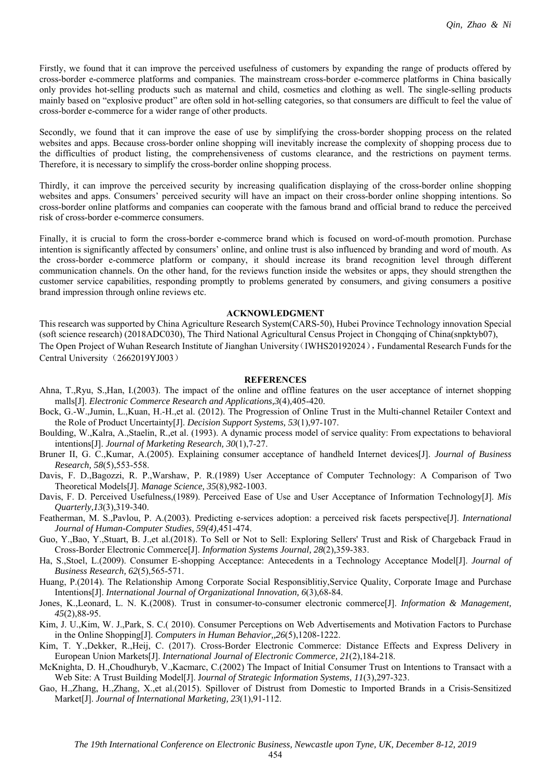Firstly, we found that it can improve the perceived usefulness of customers by expanding the range of products offered by cross-border e-commerce platforms and companies. The mainstream cross-border e-commerce platforms in China basically only provides hot-selling products such as maternal and child, cosmetics and clothing as well. The single-selling products mainly based on "explosive product" are often sold in hot-selling categories, so that consumers are difficult to feel the value of cross-border e-commerce for a wider range of other products.

Secondly, we found that it can improve the ease of use by simplifying the cross-border shopping process on the related websites and apps. Because cross-border online shopping will inevitably increase the complexity of shopping process due to the difficulties of product listing, the comprehensiveness of customs clearance, and the restrictions on payment terms. Therefore, it is necessary to simplify the cross-border online shopping process.

Thirdly, it can improve the perceived security by increasing qualification displaying of the cross-border online shopping websites and apps. Consumers' perceived security will have an impact on their cross-border online shopping intentions. So cross-border online platforms and companies can cooperate with the famous brand and official brand to reduce the perceived risk of cross-border e-commerce consumers.

Finally, it is crucial to form the cross-border e-commerce brand which is focused on word-of-mouth promotion. Purchase intention is significantly affected by consumers' online, and online trust is also influenced by branding and word of mouth. As the cross-border e-commerce platform or company, it should increase its brand recognition level through different communication channels. On the other hand, for the reviews function inside the websites or apps, they should strengthen the customer service capabilities, responding promptly to problems generated by consumers, and giving consumers a positive brand impression through online reviews etc.

#### **ACKNOWLEDGMENT**

This research was supported by China Agriculture Research System(CARS-50), Hubei Province Technology innovation Special (soft science research) (2018ADC030), The Third National Agricultural Census Project in Chongqing of China(snpktyb07), The Open Project of Wuhan Research Institute of Jianghan University (IWHS20192024), Fundamental Research Funds for the Central University (2662019YJ003)

#### **REFERENCES**

- Ahna, T.,Ryu, S.,Han, I.(2003). The impact of the online and offline features on the user acceptance of internet shopping malls[J]. *Electronic Commerce Research and Applications,3*(4)*,*405-420.
- Bock, G.-W.,Jumin, L.,Kuan, H.-H.,et al. (2012). The Progression of Online Trust in the Multi-channel Retailer Context and the Role of Product Uncertainty[J]. *Decision Support Systems, 53*(1),97-107.
- Boulding, W.,Kalra, A.,Staelin, R.,et al. (1993). A dynamic process model of service quality: From expectations to behavioral intentions[J]. *Journal of Marketing Research, 30*(1),7-27.
- Bruner II, G. C.,Kumar, A.(2005). Explaining consumer acceptance of handheld Internet devices[J]. *Journal of Business Research, 58*(5),553-558.
- Davis, F. D.,Bagozzi, R. P.,Warshaw, P. R.(1989) User Acceptance of Computer Technology: A Comparison of Two Theoretical Models[J]. *Manage Science, 35*(8),982-1003.
- Davis, F. D. Perceived Usefulness,(1989). Perceived Ease of Use and User Acceptance of Information Technology[J]. *Mis Quarterly,13*(3),319-340.
- Featherman, M. S.,Pavlou, P. A.(2003). Predicting e-services adoption: a perceived risk facets perspective[J]. *International Journal of Human-Computer Studies, 59(4)*,451-474.
- Guo, Y.,Bao, Y.,Stuart, B. J.,et al.(2018). To Sell or Not to Sell: Exploring Sellers' Trust and Risk of Chargeback Fraud in Cross-Border Electronic Commerce[J]. *Information Systems Journal, 28*(2)*,*359-383.
- Ha, S.,Stoel, L.(2009). Consumer E-shopping Acceptance: Antecedents in a Technology Acceptance Model[J]. *Journal of Business Research, 62*(5),565-571.
- Huang, P.(2014). The Relationship Among Corporate Social Responsiblitiy,Service Quality, Corporate Image and Purchase Intentions[J]. *International Journal of Organizational Innovation, 6*(3),68-84.
- Jones, K.,Leonard, L. N. K.(2008). Trust in consumer-to-consumer electronic commerce[J]. *Information & Management, 45*(2),88-95.
- Kim, J. U.,Kim, W. J.,Park, S. C.( 2010). Consumer Perceptions on Web Advertisements and Motivation Factors to Purchase in the Online Shopping[J]. *Computers in Human Behavior,,26*(5),1208-1222.
- Kim, T. Y.,Dekker, R.,Heij, C. (2017). Cross-Border Electronic Commerce: Distance Effects and Express Delivery in European Union Markets[J]. *International Journal of Electronic Commerce, 21*(2),184-218.
- McKnighta, D. H.,Choudhuryb, V.,Kacmarc, C.(2002) The Impact of Initial Consumer Trust on Intentions to Transact with a Web Site: A Trust Building Model[J]. J*ournal of Strategic Information Systems, 11*(3),297-323.
- Gao, H.,Zhang, H.,Zhang, X.,et al.(2015). Spillover of Distrust from Domestic to Imported Brands in a Crisis-Sensitized Market[J]. *Journal of International Marketing, 23*(1),91-112.